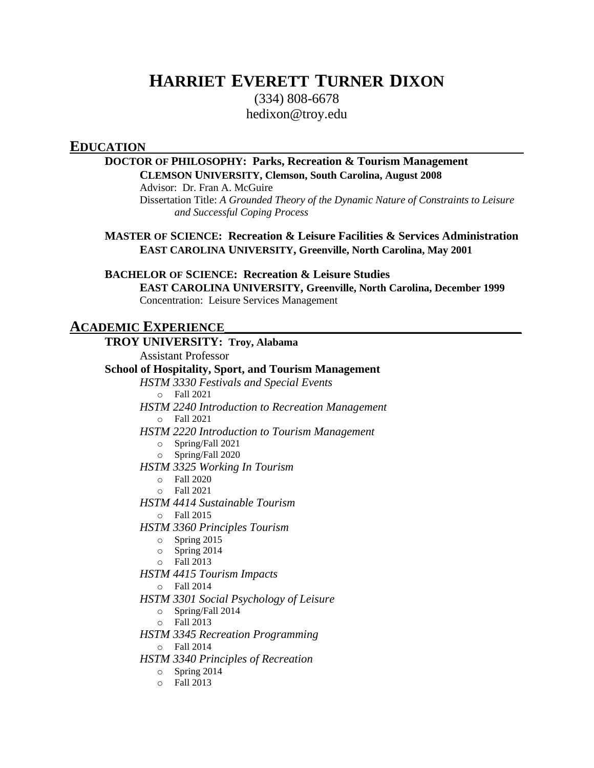# **HARRIET EVERETT TURNER DIXON**

(334) 808-6678 [hedixon@troy.edu](mailto:harriet.dixon@ymail.com)

## **EDUCATION**

## **DOCTOR OF PHILOSOPHY: Parks, Recreation & Tourism Management CLEMSON UNIVERSITY, Clemson, South Carolina, August 2008**

Advisor: Dr. Fran A. McGuire

Dissertation Title: *A Grounded Theory of the Dynamic Nature of Constraints to Leisure and Successful Coping Process*

**MASTER OF SCIENCE: Recreation & Leisure Facilities & Services Administration EAST CAROLINA UNIVERSITY, Greenville, North Carolina, May 2001**

**BACHELOR OF SCIENCE: Recreation & Leisure Studies**

**EAST CAROLINA UNIVERSITY, Greenville, North Carolina, December 1999** Concentration: Leisure Services Management

#### **ACADEMIC EXPERIENCE\_\_\_\_\_\_\_\_\_\_\_\_\_\_\_\_\_\_\_\_\_\_\_\_\_\_\_\_\_\_\_\_\_\_\_\_\_\_\_\_\_\_\_\_\_\_\_\_\_ TROY UNIVERSITY: Troy, Alabama**

|         | TROT UNIVERSITI, HOY, Alabama                               |
|---------|-------------------------------------------------------------|
|         | <b>Assistant Professor</b>                                  |
|         | <b>School of Hospitality, Sport, and Tourism Management</b> |
|         | <b>HSTM 3330 Festivals and Special Events</b>               |
|         | $\circ$ Fall 2021                                           |
|         | <b>HSTM 2240 Introduction to Recreation Management</b>      |
|         | $\circ$ Fall 2021                                           |
|         | <b>HSTM 2220 Introduction to Tourism Management</b>         |
| $\circ$ | Spring/Fall 2021                                            |
|         | $\circ$ Spring/Fall 2020                                    |
|         | <b>HSTM 3325 Working In Tourism</b>                         |
|         | $\circ$ Fall 2020                                           |
| $\circ$ | Fall 2021                                                   |
|         | <b>HSTM 4414 Sustainable Tourism</b>                        |
| $\circ$ | Fall 2015                                                   |
|         | <b>HSTM 3360 Principles Tourism</b>                         |
|         | $\circ$ Spring 2015                                         |
|         | $\circ$ Spring 2014                                         |
|         | $\circ$ Fall 2013                                           |
|         | <b>HSTM 4415 Tourism Impacts</b>                            |
|         | $\circ$ Fall 2014                                           |
|         | HSTM 3301 Social Psychology of Leisure                      |
| $\circ$ | Spring/Fall 2014                                            |
| $\circ$ | Fall 2013                                                   |
|         | <b>HSTM 3345 Recreation Programming</b>                     |
| $\circ$ | Fall 2014                                                   |
|         | <b>HSTM 3340 Principles of Recreation</b>                   |
| $\circ$ | Spring 2014                                                 |
| $\circ$ | Fall 2013                                                   |
|         |                                                             |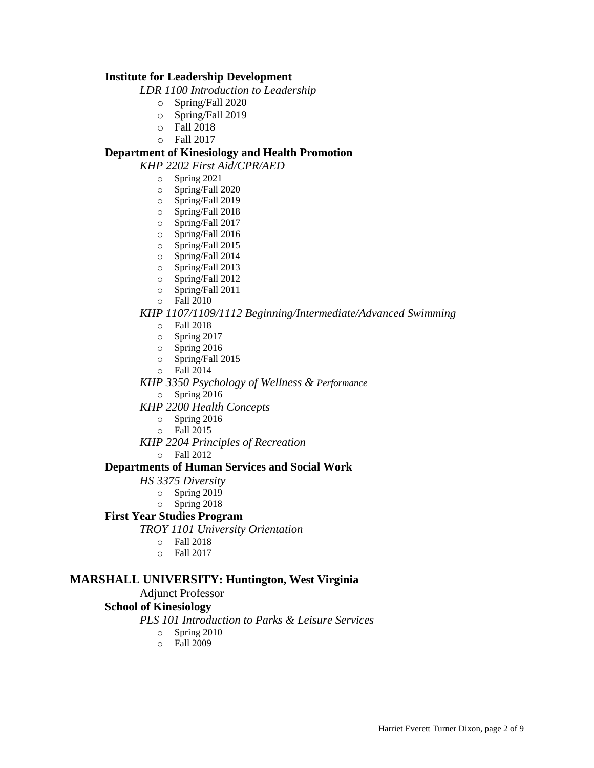### **Institute for Leadership Development**

*LDR 1100 Introduction to Leadership*

- o Spring/Fall 2020
- o Spring/Fall 2019
- o Fall 2018
- o Fall 2017

### **Department of Kinesiology and Health Promotion**

*KHP 2202 First Aid/CPR/AED*

- o Spring 2021
- o Spring/Fall 2020
- o Spring/Fall 2019
- o Spring/Fall 2018
- o Spring/Fall 2017
- o Spring/Fall 2016
- o Spring/Fall 2015
- o Spring/Fall 2014
- o Spring/Fall 2013
- o Spring/Fall 2012
- o Spring/Fall 2011
- o Fall 2010

#### *KHP 1107/1109/1112 Beginning/Intermediate/Advanced Swimming*

- o Fall 2018
- o Spring 2017
- o Spring 2016
- o Spring/Fall 2015
- o Fall 2014
- *KHP 3350 Psychology of Wellness & Performance*
	- o Spring 2016
- *KHP 2200 Health Concepts*
	- o Spring 2016
	- o Fall 2015
- *KHP 2204 Principles of Recreation*
	- o Fall 2012

#### **Departments of Human Services and Social Work**

*HS 3375 Diversity*

- o Spring 2019
- o Spring 2018

### **First Year Studies Program**

*TROY 1101 University Orientation*

- o Fall 2018
- o Fall 2017

### **MARSHALL UNIVERSITY: Huntington, West Virginia**

#### Adjunct Professor

### **School of Kinesiology**

- *PLS 101 Introduction to Parks & Leisure Services*
	- o Spring 2010
	- o Fall 2009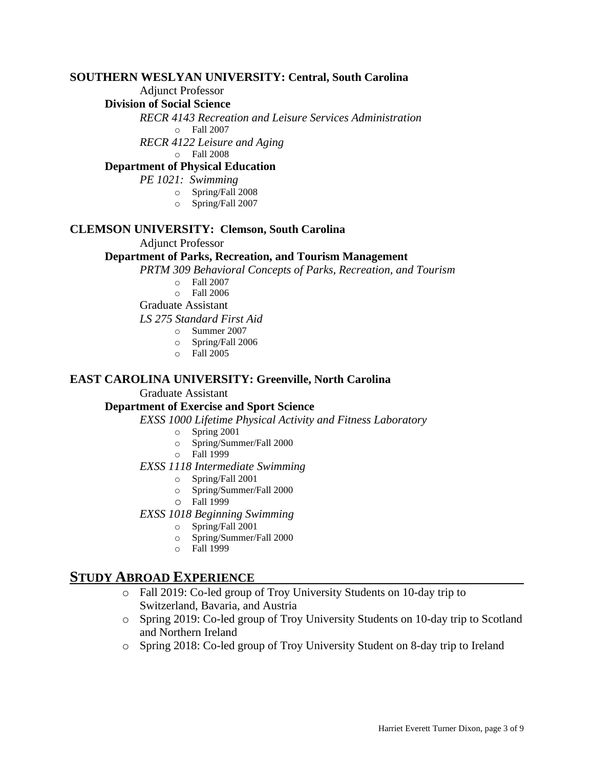### **SOUTHERN WESLYAN UNIVERSITY: Central, South Carolina**

Adjunct Professor

### **Division of Social Science**

*RECR 4143 Recreation and Leisure Services Administration*

- o Fall 2007
- *RECR 4122 Leisure and Aging*

o Fall 2008

## **Department of Physical Education**

*PE 1021: Swimming*

- o Spring/Fall 2008
- o Spring/Fall 2007

## **CLEMSON UNIVERSITY: Clemson, South Carolina**

### Adjunct Professor

### **Department of Parks, Recreation, and Tourism Management**

*PRTM 309 Behavioral Concepts of Parks, Recreation, and Tourism*

- o Fall 2007
- o Fall 2006

Graduate Assistant

*LS 275 Standard First Aid*

- o Summer 2007
- o Spring/Fall 2006
- $\circ$  Fall 2005

### **EAST CAROLINA UNIVERSITY: Greenville, North Carolina**

### Graduate Assistant

### **Department of Exercise and Sport Science**

*EXSS 1000 Lifetime Physical Activity and Fitness Laboratory*

- o Spring 2001
- o Spring/Summer/Fall 2000
- o Fall 1999

### *EXSS 1118 Intermediate Swimming*

- o Spring/Fall 2001
- o Spring/Summer/Fall 2000
- o Fall 1999

### *EXSS 1018 Beginning Swimming*

- o Spring/Fall 2001
- o Spring/Summer/Fall 2000
- o Fall 1999

## **STUDY ABROAD EXPERIENCE**

- o Fall 2019: Co-led group of Troy University Students on 10-day trip to Switzerland, Bavaria, and Austria
- o Spring 2019: Co-led group of Troy University Students on 10-day trip to Scotland and Northern Ireland
- o Spring 2018: Co-led group of Troy University Student on 8-day trip to Ireland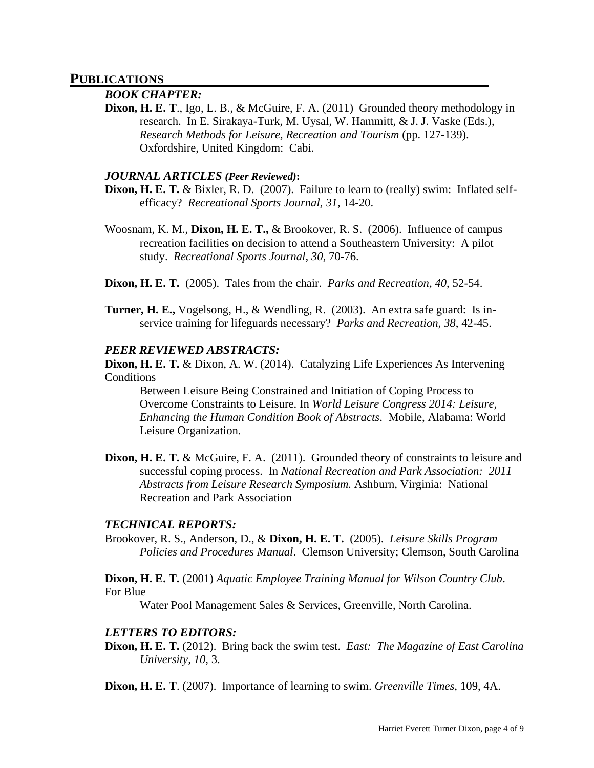### **PUBLICATIONS**

#### *BOOK CHAPTER:*

**Dixon, H. E. T**., Igo, L. B., & McGuire, F. A. (2011) Grounded theory methodology in research. In E. Sirakaya-Turk, M. Uysal, W. Hammitt, & J. J. Vaske (Eds.), *Research Methods for Leisure, Recreation and Tourism* (pp. 127-139). Oxfordshire, United Kingdom: Cabi.

### *JOURNAL ARTICLES (Peer Reviewed)***:**

- **Dixon, H. E. T.** & Bixler, R. D. (2007). Failure to learn to (really) swim: Inflated selfefficacy? *Recreational Sports Journal, 31*, 14-20.
- Woosnam, K. M., **Dixon, H. E. T.,** & Brookover, R. S. (2006). Influence of campus recreation facilities on decision to attend a Southeastern University: A pilot study. *Recreational Sports Journal, 30*, 70-76.
- **Dixon, H. E. T.** (2005). Tales from the chair. *Parks and Recreation, 40*, 52-54.
- **Turner, H. E.,** Vogelsong, H., & Wendling, R. (2003). An extra safe guard: Is inservice training for lifeguards necessary? *Parks and Recreation, 38*, 42-45.

#### *PEER REVIEWED ABSTRACTS:*

**Dixon, H. E. T.** & Dixon, A. W. (2014). Catalyzing Life Experiences As Intervening **Conditions** 

Between Leisure Being Constrained and Initiation of Coping Process to Overcome Constraints to Leisure. In *World Leisure Congress 2014: Leisure, Enhancing the Human Condition Book of Abstracts*. Mobile, Alabama: World Leisure Organization.

**Dixon, H. E. T.** & McGuire, F. A. (2011). Grounded theory of constraints to leisure and successful coping process. In *National Recreation and Park Association: 2011 Abstracts from Leisure Research Symposium.* Ashburn, Virginia: National Recreation and Park Association

### *TECHNICAL REPORTS:*

Brookover, R. S., Anderson, D., & **Dixon, H. E. T.** (2005). *Leisure Skills Program Policies and Procedures Manual*. Clemson University; Clemson, South Carolina

**Dixon, H. E. T.** (2001) *Aquatic Employee Training Manual for Wilson Country Club*. For Blue

Water Pool Management Sales & Services, Greenville, North Carolina.

#### *LETTERS TO EDITORS:*

**Dixon, H. E. T.** (2012). Bring back the swim test. *East: The Magazine of East Carolina University, 10*, 3.

**Dixon, H. E. T**. (2007). Importance of learning to swim. *Greenville Times*, 109, 4A.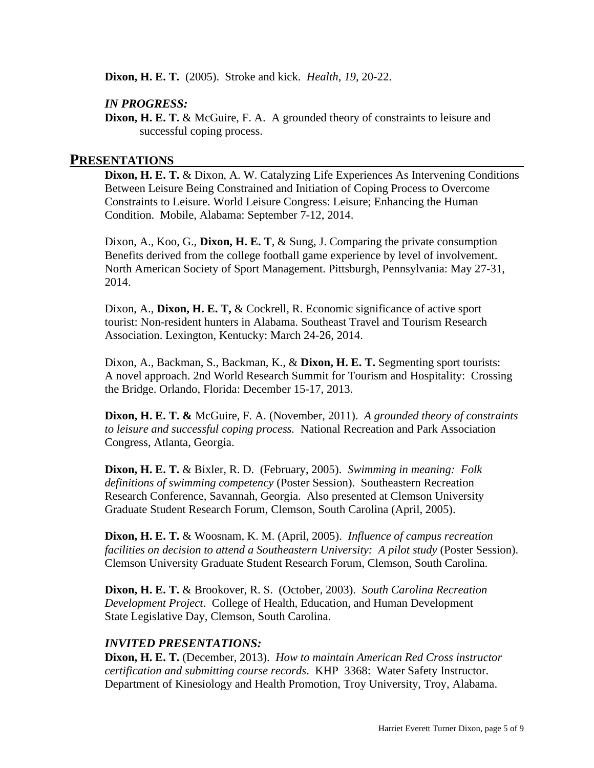**Dixon, H. E. T.** (2005). Stroke and kick. *Health, 19*, 20-22.

### *IN PROGRESS:*

**Dixon, H. E. T.** & McGuire, F. A. A grounded theory of constraints to leisure and successful coping process.

### **PRESENTATIONS**

**Dixon, H. E. T.** & Dixon, A. W. Catalyzing Life Experiences As Intervening Conditions Between Leisure Being Constrained and Initiation of Coping Process to Overcome Constraints to Leisure. World Leisure Congress: Leisure; Enhancing the Human Condition. Mobile, Alabama: September 7-12, 2014.

Dixon, A., Koo, G., **Dixon, H. E. T**, & Sung, J. Comparing the private consumption Benefits derived from the college football game experience by level of involvement. North American Society of Sport Management. Pittsburgh, Pennsylvania: May 27-31, 2014.

Dixon, A., **Dixon, H. E. T,** & Cockrell, R. Economic significance of active sport tourist: Non-resident hunters in Alabama. Southeast Travel and Tourism Research Association. Lexington, Kentucky: March 24-26, 2014.

Dixon, A., Backman, S., Backman, K., & **Dixon, H. E. T.** Segmenting sport tourists: A novel approach. 2nd World Research Summit for Tourism and Hospitality: Crossing the Bridge. Orlando, Florida: December 15-17, 2013.

**Dixon, H. E. T. &** McGuire, F. A. (November, 2011). *A grounded theory of constraints to leisure and successful coping process.* National Recreation and Park Association Congress, Atlanta, Georgia.

**Dixon, H. E. T.** & Bixler, R. D. (February, 2005). *Swimming in meaning: Folk definitions of swimming competency* (Poster Session). Southeastern Recreation Research Conference, Savannah, Georgia. Also presented at Clemson University Graduate Student Research Forum, Clemson, South Carolina (April, 2005).

**Dixon, H. E. T.** & Woosnam, K. M. (April, 2005). *Influence of campus recreation facilities on decision to attend a Southeastern University: A pilot study* (Poster Session). Clemson University Graduate Student Research Forum, Clemson, South Carolina.

**Dixon, H. E. T.** & Brookover, R. S. (October, 2003). *South Carolina Recreation Development Project*. College of Health, Education, and Human Development State Legislative Day, Clemson, South Carolina.

### *INVITED PRESENTATIONS:*

**Dixon, H. E. T.** (December, 2013). *How to maintain American Red Cross instructor certification and submitting course records*. KHP 3368: Water Safety Instructor. Department of Kinesiology and Health Promotion, Troy University, Troy, Alabama.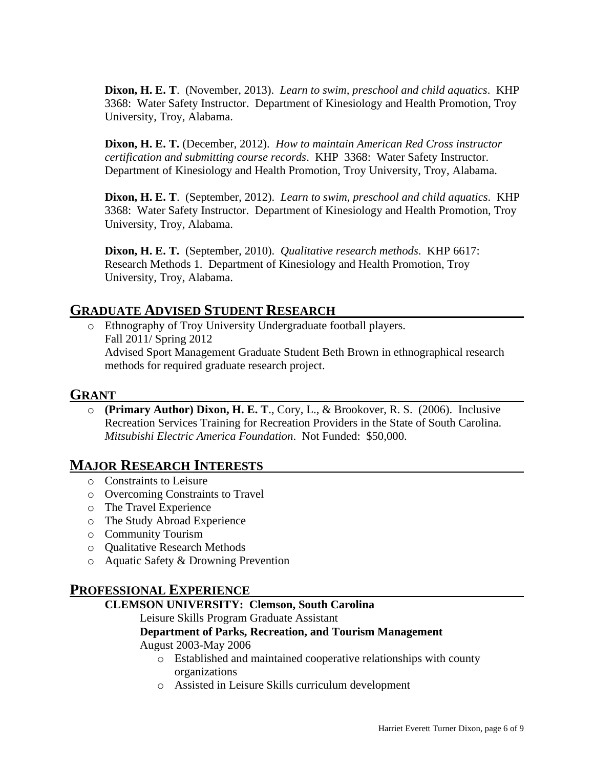**Dixon, H. E. T**. (November, 2013). *Learn to swim, preschool and child aquatics*. KHP 3368: Water Safety Instructor. Department of Kinesiology and Health Promotion, Troy University, Troy, Alabama.

**Dixon, H. E. T.** (December, 2012). *How to maintain American Red Cross instructor certification and submitting course records*. KHP 3368: Water Safety Instructor. Department of Kinesiology and Health Promotion, Troy University, Troy, Alabama.

**Dixon, H. E. T**. (September, 2012). *Learn to swim, preschool and child aquatics*. KHP 3368: Water Safety Instructor. Department of Kinesiology and Health Promotion, Troy University, Troy, Alabama.

**Dixon, H. E. T.** (September, 2010). *Qualitative research methods*. KHP 6617: Research Methods 1. Department of Kinesiology and Health Promotion, Troy University, Troy, Alabama.

## **GRADUATE ADVISED STUDENT RESEARCH**

o Ethnography of Troy University Undergraduate football players. Fall 2011/ Spring 2012 Advised Sport Management Graduate Student Beth Brown in ethnographical research methods for required graduate research project.

## **GRANT**

o **(Primary Author) Dixon, H. E. T**., Cory, L., & Brookover, R. S. (2006). Inclusive Recreation Services Training for Recreation Providers in the State of South Carolina. *Mitsubishi Electric America Foundation*. Not Funded: \$50,000.

## **MAJOR RESEARCH INTERESTS**

- o Constraints to Leisure
- o Overcoming Constraints to Travel
- o The Travel Experience
- o The Study Abroad Experience
- o Community Tourism
- o Qualitative Research Methods
- o Aquatic Safety & Drowning Prevention

## **PROFESSIONAL EXPERIENCE**

## **CLEMSON UNIVERSITY: Clemson, South Carolina**

### Leisure Skills Program Graduate Assistant

## **Department of Parks, Recreation, and Tourism Management**

## August 2003-May 2006

- o Established and maintained cooperative relationships with county organizations
- o Assisted in Leisure Skills curriculum development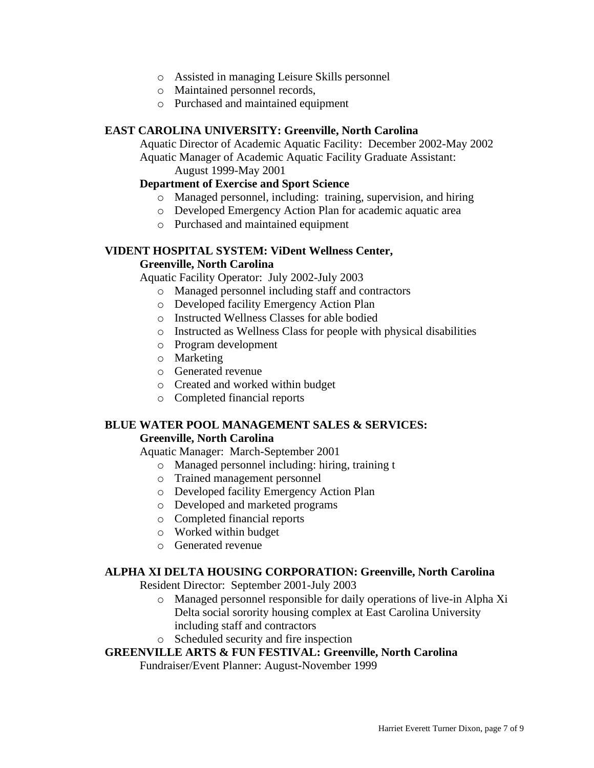- o Assisted in managing Leisure Skills personnel
- o Maintained personnel records,
- o Purchased and maintained equipment

### **EAST CAROLINA UNIVERSITY: Greenville, North Carolina**

Aquatic Director of Academic Aquatic Facility:December 2002-May 2002 Aquatic Manager of Academic Aquatic Facility Graduate Assistant:

August 1999-May 2001

## **Department of Exercise and Sport Science**

- o Managed personnel, including: training, supervision, and hiring
- o Developed Emergency Action Plan for academic aquatic area
- o Purchased and maintained equipment

## **VIDENT HOSPITAL SYSTEM: ViDent Wellness Center,**

### **Greenville, North Carolina**

Aquatic Facility Operator:July 2002-July 2003

- o Managed personnel including staff and contractors
- o Developed facility Emergency Action Plan
- o Instructed Wellness Classes for able bodied
- o Instructed as Wellness Class for people with physical disabilities
- o Program development
- o Marketing
- o Generated revenue
- o Created and worked within budget
- o Completed financial reports

## **BLUE WATER POOL MANAGEMENT SALES & SERVICES:**

### **Greenville, North Carolina**

Aquatic Manager:March-September 2001

- o Managed personnel including: hiring, training t
- o Trained management personnel
- o Developed facility Emergency Action Plan
- o Developed and marketed programs
- o Completed financial reports
- o Worked within budget
- o Generated revenue

### **ALPHA XI DELTA HOUSING CORPORATION: Greenville, North Carolina**

Resident Director:September 2001-July 2003

- o Managed personnel responsible for daily operations of live-in Alpha Xi Delta social sorority housing complex at East Carolina University including staff and contractors
- o Scheduled security and fire inspection

### **GREENVILLE ARTS & FUN FESTIVAL: Greenville, North Carolina**

Fundraiser/Event Planner: August-November 1999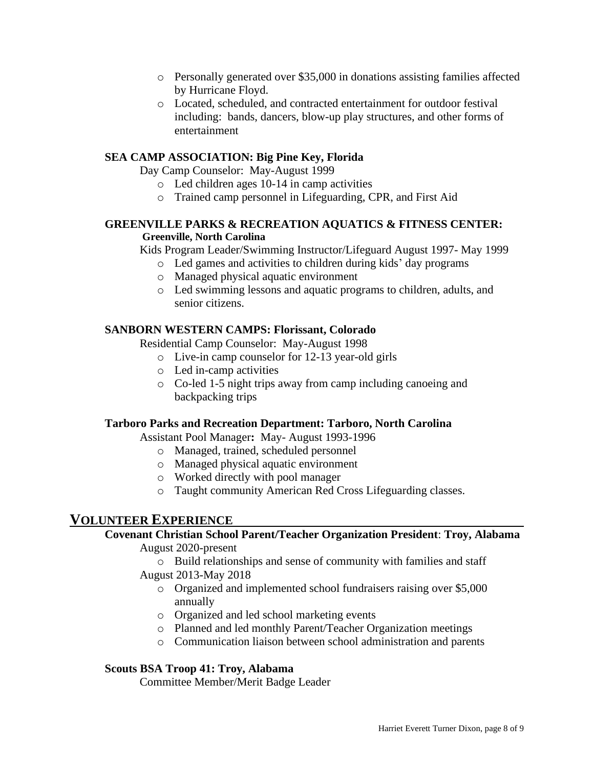- o Personally generated over \$35,000 in donations assisting families affected by Hurricane Floyd.
- o Located, scheduled, and contracted entertainment for outdoor festival including: bands, dancers, blow-up play structures, and other forms of entertainment

## **SEA CAMP ASSOCIATION: Big Pine Key, Florida**

Day Camp Counselor:May-August 1999

- o Led children ages 10-14 in camp activities
- o Trained camp personnel in Lifeguarding, CPR, and First Aid

## **GREENVILLE PARKS & RECREATION AQUATICS & FITNESS CENTER: Greenville, North Carolina**

Kids Program Leader/Swimming Instructor/Lifeguard August 1997- May 1999

- o Led games and activities to children during kids' day programs
- o Managed physical aquatic environment
- o Led swimming lessons and aquatic programs to children, adults, and senior citizens.

### **SANBORN WESTERN CAMPS: Florissant, Colorado**

Residential Camp Counselor:May-August 1998

- o Live-in camp counselor for 12-13 year-old girls
- o Led in-camp activities
- o Co-led 1-5 night trips away from camp including canoeing and backpacking trips

### **Tarboro Parks and Recreation Department: Tarboro, North Carolina**

Assistant Pool Manager**:** May- August 1993-1996

- o Managed, trained, scheduled personnel
- o Managed physical aquatic environment
- o Worked directly with pool manager
- o Taught community American Red Cross Lifeguarding classes.

## **VOLUNTEER EXPERIENCE**

## **Covenant Christian School Parent/Teacher Organization President**: **Troy, Alabama**

August 2020-present

- o Build relationships and sense of community with families and staff
- August 2013-May 2018
	- o Organized and implemented school fundraisers raising over \$5,000 annually
	- o Organized and led school marketing events
	- o Planned and led monthly Parent/Teacher Organization meetings
	- o Communication liaison between school administration and parents

### **Scouts BSA Troop 41: Troy, Alabama**

Committee Member/Merit Badge Leader